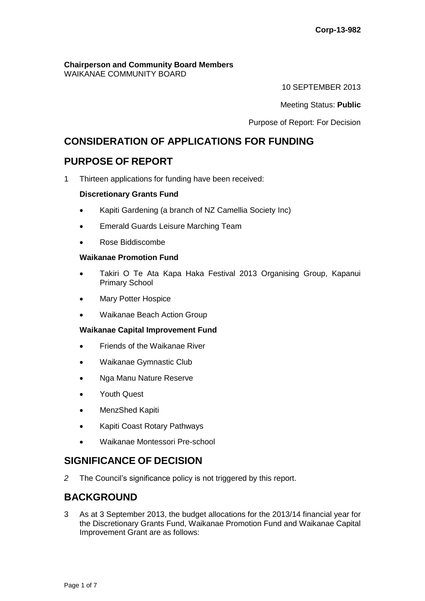#### **Chairperson and Community Board Members** WAIKANAE COMMUNITY BOARD

10 SEPTEMBER 2013

Meeting Status: **Public**

Purpose of Report: For Decision

# **CONSIDERATION OF APPLICATIONS FOR FUNDING**

# **PURPOSE OF REPORT**

1 Thirteen applications for funding have been received:

## **Discretionary Grants Fund**

- Kapiti Gardening (a branch of NZ Camellia Society Inc)
- Emerald Guards Leisure Marching Team
- Rose Biddiscombe

## **Waikanae Promotion Fund**

- Takiri O Te Ata Kapa Haka Festival 2013 Organising Group, Kapanui Primary School
- Mary Potter Hospice
- Waikanae Beach Action Group

## **Waikanae Capital Improvement Fund**

- Friends of the Waikanae River
- Waikanae Gymnastic Club
- Nga Manu Nature Reserve
- Youth Quest
- MenzShed Kapiti
- Kapiti Coast Rotary Pathways
- Waikanae Montessori Pre-school

## **SIGNIFICANCE OF DECISION**

*2* The Council's significance policy is not triggered by this report.

# **BACKGROUND**

3 As at 3 September 2013, the budget allocations for the 2013/14 financial year for the Discretionary Grants Fund, Waikanae Promotion Fund and Waikanae Capital Improvement Grant are as follows: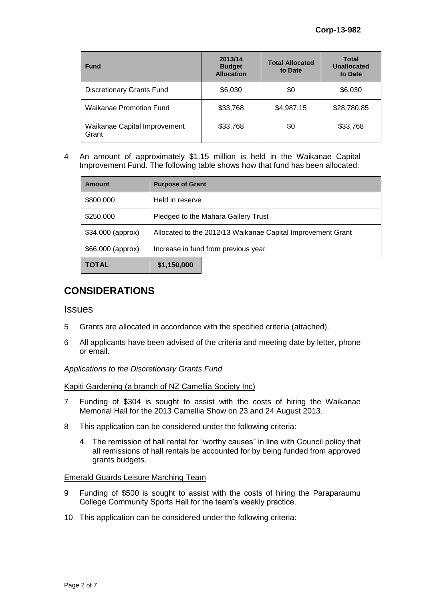| <b>Fund</b>                           | 2013/14<br><b>Budget</b><br><b>Allocation</b> | <b>Total Allocated</b><br>to Date | <b>Total</b><br><b>Unallocated</b><br>to Date |
|---------------------------------------|-----------------------------------------------|-----------------------------------|-----------------------------------------------|
| <b>Discretionary Grants Fund</b>      | \$6,030                                       | \$0                               | \$6,030                                       |
| Waikanae Promotion Fund               | \$33,768                                      | \$4,987.15                        | \$28,780.85                                   |
| Waikanae Capital Improvement<br>Grant | \$33,768                                      | \$0                               | \$33,768                                      |

4 An amount of approximately \$1.15 million is held in the Waikanae Capital Improvement Fund. The following table shows how that fund has been allocated:

| Amount            | <b>Purpose of Grant</b>                                     |  |  |
|-------------------|-------------------------------------------------------------|--|--|
| \$800,000         | Held in reserve                                             |  |  |
| \$250,000         | Pledged to the Mahara Gallery Trust                         |  |  |
| \$34,000 (approx) | Allocated to the 2012/13 Waikanae Capital Improvement Grant |  |  |
| \$66,000 (approx) | Increase in fund from previous year                         |  |  |
| <b>TOTAL</b>      | \$1,150,000                                                 |  |  |

# **CONSIDERATIONS**

## **Issues**

- 5 Grants are allocated in accordance with the specified criteria (attached).
- 6 All applicants have been advised of the criteria and meeting date by letter, phone or email.

## *Applications to the Discretionary Grants Fund*

#### Kapiti Gardening (a branch of NZ Camellia Society Inc)

- 7 Funding of \$304 is sought to assist with the costs of hiring the Waikanae Memorial Hall for the 2013 Camellia Show on 23 and 24 August 2013.
- 8 This application can be considered under the following criteria:
	- 4. The remission of hall rental for "worthy causes" in line with Council policy that all remissions of hall rentals be accounted for by being funded from approved grants budgets.

#### Emerald Guards Leisure Marching Team

- 9 Funding of \$500 is sought to assist with the costs of hiring the Paraparaumu College Community Sports Hall for the team's weekly practice.
- 10 This application can be considered under the following criteria: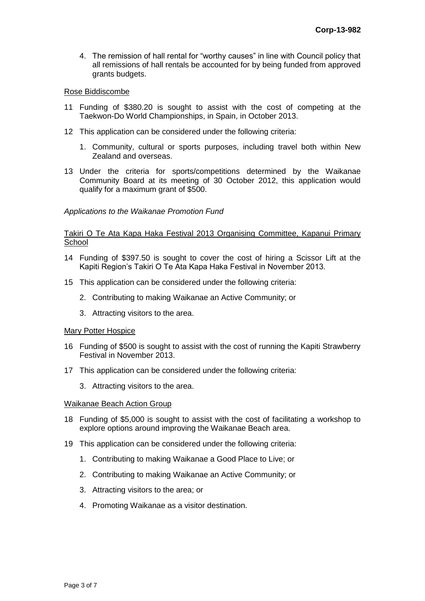4. The remission of hall rental for "worthy causes" in line with Council policy that all remissions of hall rentals be accounted for by being funded from approved grants budgets.

#### Rose Biddiscombe

- 11 Funding of \$380.20 is sought to assist with the cost of competing at the Taekwon-Do World Championships, in Spain, in October 2013.
- 12 This application can be considered under the following criteria:
	- 1. Community, cultural or sports purposes, including travel both within New Zealand and overseas.
- 13 Under the criteria for sports/competitions determined by the Waikanae Community Board at its meeting of 30 October 2012, this application would qualify for a maximum grant of \$500.

*Applications to the Waikanae Promotion Fund*

#### Takiri O Te Ata Kapa Haka Festival 2013 Organising Committee, Kapanui Primary **School**

- 14 Funding of \$397.50 is sought to cover the cost of hiring a Scissor Lift at the Kapiti Region's Takiri O Te Ata Kapa Haka Festival in November 2013.
- 15 This application can be considered under the following criteria:
	- 2. Contributing to making Waikanae an Active Community; or
	- 3. Attracting visitors to the area.

#### Mary Potter Hospice

- 16 Funding of \$500 is sought to assist with the cost of running the Kapiti Strawberry Festival in November 2013.
- 17 This application can be considered under the following criteria:
	- 3. Attracting visitors to the area.

#### Waikanae Beach Action Group

- 18 Funding of \$5,000 is sought to assist with the cost of facilitating a workshop to explore options around improving the Waikanae Beach area.
- 19 This application can be considered under the following criteria:
	- 1. Contributing to making Waikanae a Good Place to Live; or
	- 2. Contributing to making Waikanae an Active Community; or
	- 3. Attracting visitors to the area; or
	- 4. Promoting Waikanae as a visitor destination.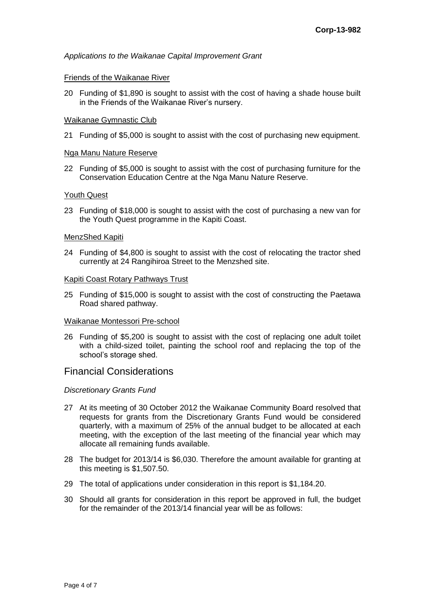*Applications to the Waikanae Capital Improvement Grant*

#### Friends of the Waikanae River

20 Funding of \$1,890 is sought to assist with the cost of having a shade house built in the Friends of the Waikanae River's nursery.

#### Waikanae Gymnastic Club

21 Funding of \$5,000 is sought to assist with the cost of purchasing new equipment.

#### Nga Manu Nature Reserve

22 Funding of \$5,000 is sought to assist with the cost of purchasing furniture for the Conservation Education Centre at the Nga Manu Nature Reserve.

#### Youth Quest

23 Funding of \$18,000 is sought to assist with the cost of purchasing a new van for the Youth Quest programme in the Kapiti Coast.

#### MenzShed Kapiti

24 Funding of \$4,800 is sought to assist with the cost of relocating the tractor shed currently at 24 Rangihiroa Street to the Menzshed site.

#### Kapiti Coast Rotary Pathways Trust

25 Funding of \$15,000 is sought to assist with the cost of constructing the Paetawa Road shared pathway.

#### Waikanae Montessori Pre-school

26 Funding of \$5,200 is sought to assist with the cost of replacing one adult toilet with a child-sized toilet, painting the school roof and replacing the top of the school's storage shed.

## Financial Considerations

## *Discretionary Grants Fund*

- 27 At its meeting of 30 October 2012 the Waikanae Community Board resolved that requests for grants from the Discretionary Grants Fund would be considered quarterly, with a maximum of 25% of the annual budget to be allocated at each meeting, with the exception of the last meeting of the financial year which may allocate all remaining funds available.
- 28 The budget for 2013/14 is \$6,030. Therefore the amount available for granting at this meeting is \$1,507.50.
- 29 The total of applications under consideration in this report is \$1,184.20.
- 30 Should all grants for consideration in this report be approved in full, the budget for the remainder of the 2013/14 financial year will be as follows: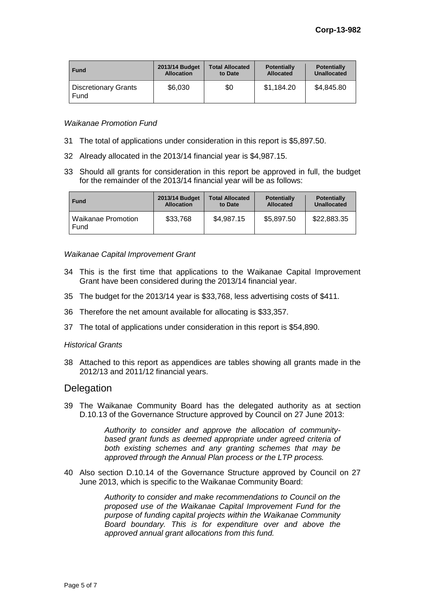| <b>Fund</b>                         | 2013/14 Budget    | <b>Total Allocated</b> | <b>Potentially</b> | <b>Potentially</b> |
|-------------------------------------|-------------------|------------------------|--------------------|--------------------|
|                                     | <b>Allocation</b> | to Date                | <b>Allocated</b>   | Unallocated        |
| <b>Discretionary Grants</b><br>Fund | \$6,030           | \$0                    | \$1,184.20         | \$4,845.80         |

#### *Waikanae Promotion Fund*

- 31 The total of applications under consideration in this report is \$5,897.50.
- 32 Already allocated in the 2013/14 financial year is \$4,987.15.
- 33 Should all grants for consideration in this report be approved in full, the budget for the remainder of the 2013/14 financial year will be as follows:

| <b>Fund</b>                       | 2013/14 Budget    | <b>Total Allocated</b> | <b>Potentially</b> | <b>Potentially</b> |
|-----------------------------------|-------------------|------------------------|--------------------|--------------------|
|                                   | <b>Allocation</b> | to Date                | <b>Allocated</b>   | Unallocated        |
| <b>Waikanae Promotion</b><br>Fund | \$33,768          | \$4,987.15             | \$5,897.50         | \$22,883.35        |

#### *Waikanae Capital Improvement Grant*

- 34 This is the first time that applications to the Waikanae Capital Improvement Grant have been considered during the 2013/14 financial year.
- 35 The budget for the 2013/14 year is \$33,768, less advertising costs of \$411.
- 36 Therefore the net amount available for allocating is \$33,357.
- 37 The total of applications under consideration in this report is \$54,890.

#### *Historical Grants*

38 Attached to this report as appendices are tables showing all grants made in the 2012/13 and 2011/12 financial years.

## **Delegation**

39 The Waikanae Community Board has the delegated authority as at section D.10.13 of the Governance Structure approved by Council on 27 June 2013:

> *Authority to consider and approve the allocation of communitybased grant funds as deemed appropriate under agreed criteria of both existing schemes and any granting schemes that may be approved through the Annual Plan process or the LTP process.*

40 Also section D.10.14 of the Governance Structure approved by Council on 27 June 2013, which is specific to the Waikanae Community Board:

> *Authority to consider and make recommendations to Council on the proposed use of the Waikanae Capital Improvement Fund for the purpose of funding capital projects within the Waikanae Community Board boundary. This is for expenditure over and above the approved annual grant allocations from this fund.*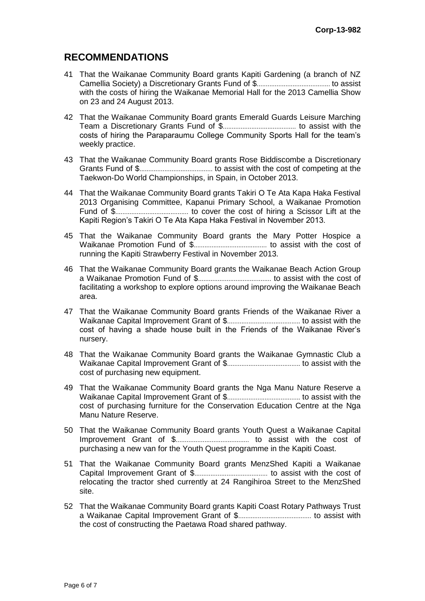# **RECOMMENDATIONS**

- 41 That the Waikanae Community Board grants Kapiti Gardening (a branch of NZ Camellia Society) a Discretionary Grants Fund of \$......................................... to assist with the costs of hiring the Waikanae Memorial Hall for the 2013 Camellia Show on 23 and 24 August 2013.
- 42 That the Waikanae Community Board grants Emerald Guards Leisure Marching Team a Discretionary Grants Fund of \$......................................... to assist with the costs of hiring the Paraparaumu College Community Sports Hall for the team's weekly practice.
- 43 That the Waikanae Community Board grants Rose Biddiscombe a Discretionary Grants Fund of \$......................................... to assist with the cost of competing at the Taekwon-Do World Championships, in Spain, in October 2013.
- 44 That the Waikanae Community Board grants Takiri O Te Ata Kapa Haka Festival 2013 Organising Committee, Kapanui Primary School, a Waikanae Promotion Fund of \$......................................... to cover the cost of hiring a Scissor Lift at the Kapiti Region's Takiri O Te Ata Kapa Haka Festival in November 2013.
- 45 That the Waikanae Community Board grants the Mary Potter Hospice a Waikanae Promotion Fund of \$......................................... to assist with the cost of running the Kapiti Strawberry Festival in November 2013.
- 46 That the Waikanae Community Board grants the Waikanae Beach Action Group a Waikanae Promotion Fund of \$......................................... to assist with the cost of facilitating a workshop to explore options around improving the Waikanae Beach area.
- 47 That the Waikanae Community Board grants Friends of the Waikanae River a Waikanae Capital Improvement Grant of \$......................................... to assist with the cost of having a shade house built in the Friends of the Waikanae River's nursery.
- 48 That the Waikanae Community Board grants the Waikanae Gymnastic Club a Waikanae Capital Improvement Grant of \$......................................... to assist with the cost of purchasing new equipment.
- 49 That the Waikanae Community Board grants the Nga Manu Nature Reserve a Waikanae Capital Improvement Grant of \$......................................... to assist with the cost of purchasing furniture for the Conservation Education Centre at the Nga Manu Nature Reserve.
- 50 That the Waikanae Community Board grants Youth Quest a Waikanae Capital Improvement Grant of \$......................................... to assist with the cost of purchasing a new van for the Youth Quest programme in the Kapiti Coast.
- 51 That the Waikanae Community Board grants MenzShed Kapiti a Waikanae Capital Improvement Grant of \$......................................... to assist with the cost of relocating the tractor shed currently at 24 Rangihiroa Street to the MenzShed site.
- 52 That the Waikanae Community Board grants Kapiti Coast Rotary Pathways Trust a Waikanae Capital Improvement Grant of \$......................................... to assist with the cost of constructing the Paetawa Road shared pathway.